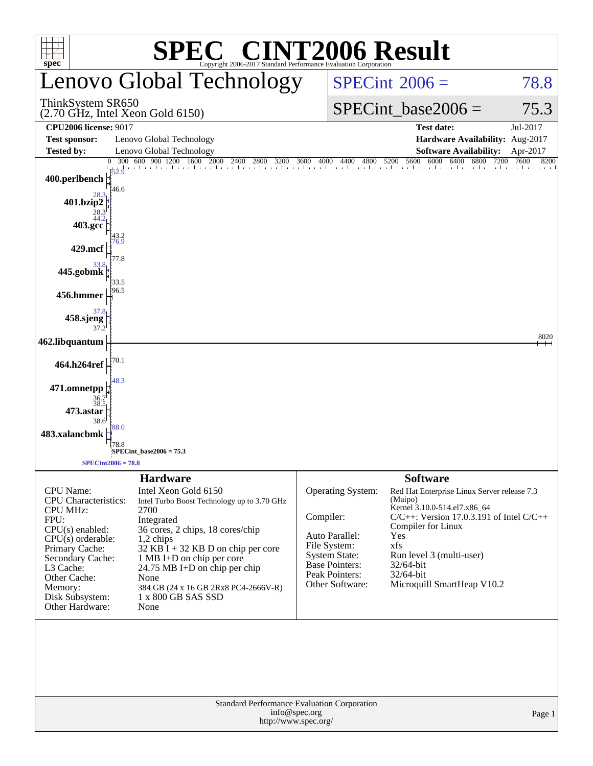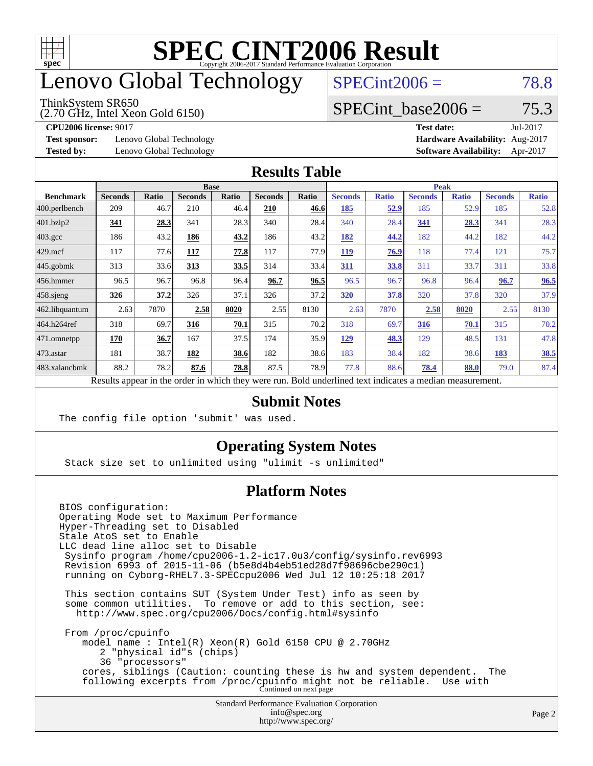

## enovo Global Technology

#### ThinkSystem SR650

(2.70 GHz, Intel Xeon Gold 6150)

 $SPECint2006 = 78.8$  $SPECint2006 = 78.8$ 

### SPECint base2006 =  $75.3$

**[Test sponsor:](http://www.spec.org/auto/cpu2006/Docs/result-fields.html#Testsponsor)** Lenovo Global Technology **[Hardware Availability:](http://www.spec.org/auto/cpu2006/Docs/result-fields.html#HardwareAvailability)** Aug-2017

**[CPU2006 license:](http://www.spec.org/auto/cpu2006/Docs/result-fields.html#CPU2006license)** 9017 **[Test date:](http://www.spec.org/auto/cpu2006/Docs/result-fields.html#Testdate)** Jul-2017 **[Tested by:](http://www.spec.org/auto/cpu2006/Docs/result-fields.html#Testedby)** Lenovo Global Technology **[Software Availability:](http://www.spec.org/auto/cpu2006/Docs/result-fields.html#SoftwareAvailability)** Apr-2017

#### **[Results Table](http://www.spec.org/auto/cpu2006/Docs/result-fields.html#ResultsTable)**

|                                                                                                          | <b>Base</b>    |              |                |       | <b>Peak</b>    |       |                |              |                |              |                |              |
|----------------------------------------------------------------------------------------------------------|----------------|--------------|----------------|-------|----------------|-------|----------------|--------------|----------------|--------------|----------------|--------------|
| <b>Benchmark</b>                                                                                         | <b>Seconds</b> | <b>Ratio</b> | <b>Seconds</b> | Ratio | <b>Seconds</b> | Ratio | <b>Seconds</b> | <b>Ratio</b> | <b>Seconds</b> | <b>Ratio</b> | <b>Seconds</b> | <b>Ratio</b> |
| 400.perlbench                                                                                            | 209            | 46.7         | 210            | 46.4  | 210            | 46.6  | 185            | <u>52.9</u>  | 185            | 52.9         | 185            | 52.8         |
| 401.bzip2                                                                                                | 341            | 28.3         | 341            | 28.3  | 340            | 28.4  | 340            | 28.4         | 341            | 28.3         | 341            | 28.3         |
| $403.\mathrm{gcc}$                                                                                       | 186            | 43.2         | 186            | 43.2  | 186            | 43.2  | 182            | 44.2         | 182            | 44.2         | 182            | 44.2         |
| $429$ mcf                                                                                                | 117            | 77.6         | 117            | 77.8  | 117            | 77.9  | 119            | 76.9         | 118            | 77.4         | 121            | 75.7         |
| $445$ .gobmk                                                                                             | 313            | 33.6         | 313            | 33.5  | 314            | 33.4  | 311            | 33.8         | 311            | 33.7         | 311            | 33.8         |
| $456.$ hmmer                                                                                             | 96.5           | 96.7         | 96.8           | 96.4  | 96.7           | 96.5  | 96.5           | 96.7         | 96.8           | 96.4         | 96.7           | 96.5         |
| $458$ .sjeng                                                                                             | 326            | 37.2         | 326            | 37.1  | 326            | 37.2  | 320            | 37.8         | 320            | 37.8         | 320            | 37.9         |
| 462.libquantum                                                                                           | 2.63           | 7870         | 2.58           | 8020  | 2.55           | 8130  | 2.63           | 7870         | 2.58           | 8020         | 2.55           | 8130         |
| 464.h264ref                                                                                              | 318            | 69.7         | 316            | 70.1  | 315            | 70.2  | 318            | 69.7         | 316            | 70.1         | 315            | 70.2         |
| 471.omnetpp                                                                                              | 170            | 36.7         | 167            | 37.5  | 174            | 35.9  | 129            | 48.3         | 129            | 48.5         | 131            | 47.8         |
| 473.astar                                                                                                | 181            | 38.7         | 182            | 38.6  | 182            | 38.6  | 183            | 38.4         | 182            | 38.6         | 183            | 38.5         |
| 483.xalancbmk                                                                                            | 88.2           | 78.2         | 87.6           | 78.8  | 87.5           | 78.9  | 77.8           | 88.6         | 78.4           | 88.0         | 79.0           | 87.4         |
| Results appear in the order in which they were run. Bold underlined text indicates a median measurement. |                |              |                |       |                |       |                |              |                |              |                |              |

#### **[Submit Notes](http://www.spec.org/auto/cpu2006/Docs/result-fields.html#SubmitNotes)**

The config file option 'submit' was used.

### **[Operating System Notes](http://www.spec.org/auto/cpu2006/Docs/result-fields.html#OperatingSystemNotes)**

Stack size set to unlimited using "ulimit -s unlimited"

### **[Platform Notes](http://www.spec.org/auto/cpu2006/Docs/result-fields.html#PlatformNotes)**

Standard Performance Evaluation Corporation [info@spec.org](mailto:info@spec.org) BIOS configuration: Operating Mode set to Maximum Performance Hyper-Threading set to Disabled Stale AtoS set to Enable LLC dead line alloc set to Disable Sysinfo program /home/cpu2006-1.2-ic17.0u3/config/sysinfo.rev6993 Revision 6993 of 2015-11-06 (b5e8d4b4eb51ed28d7f98696cbe290c1) running on Cyborg-RHEL7.3-SPECcpu2006 Wed Jul 12 10:25:18 2017 This section contains SUT (System Under Test) info as seen by some common utilities. To remove or add to this section, see: <http://www.spec.org/cpu2006/Docs/config.html#sysinfo> From /proc/cpuinfo model name : Intel(R) Xeon(R) Gold 6150 CPU @ 2.70GHz 2 "physical id"s (chips) 36 "processors" cores, siblings (Caution: counting these is hw and system dependent. The following excerpts from /proc/cpuinfo might not be reliable. Use with Continued on next page

<http://www.spec.org/>

Page 2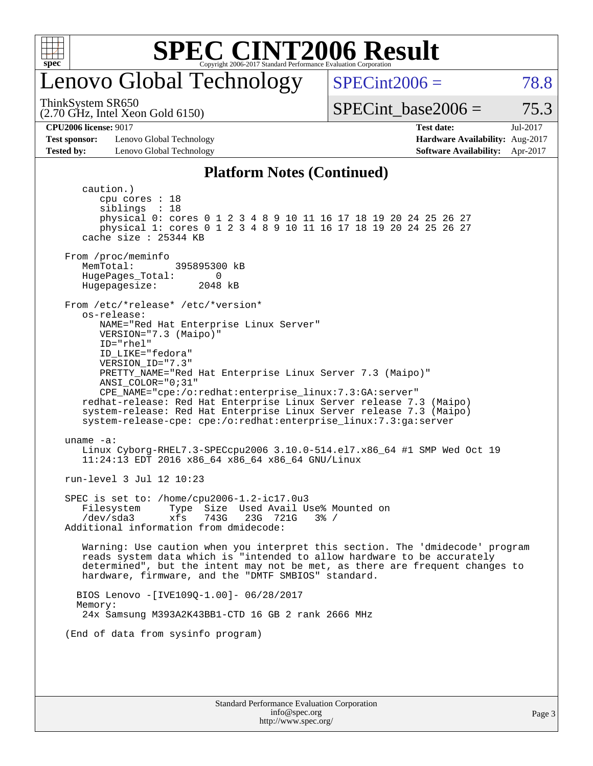

## enovo Global Technology

ThinkSystem SR650

(2.70 GHz, Intel Xeon Gold 6150)

 $SPECint2006 = 78.8$  $SPECint2006 = 78.8$ 

SPECint base2006 =  $75.3$ 

**[Test sponsor:](http://www.spec.org/auto/cpu2006/Docs/result-fields.html#Testsponsor)** Lenovo Global Technology **[Hardware Availability:](http://www.spec.org/auto/cpu2006/Docs/result-fields.html#HardwareAvailability)** Aug-2017 **[Tested by:](http://www.spec.org/auto/cpu2006/Docs/result-fields.html#Testedby)** Lenovo Global Technology **[Software Availability:](http://www.spec.org/auto/cpu2006/Docs/result-fields.html#SoftwareAvailability)** Apr-2017

**[CPU2006 license:](http://www.spec.org/auto/cpu2006/Docs/result-fields.html#CPU2006license)** 9017 **[Test date:](http://www.spec.org/auto/cpu2006/Docs/result-fields.html#Testdate)** Jul-2017

#### **[Platform Notes \(Continued\)](http://www.spec.org/auto/cpu2006/Docs/result-fields.html#PlatformNotes)**

Standard Performance Evaluation Corporation caution.) cpu cores : 18 siblings : 18 physical 0: cores 0 1 2 3 4 8 9 10 11 16 17 18 19 20 24 25 26 27 physical 1: cores 0 1 2 3 4 8 9 10 11 16 17 18 19 20 24 25 26 27 cache size : 25344 KB From /proc/meminfo MemTotal: 395895300 kB HugePages\_Total: 0<br>Hugepagesize: 2048 kB Hugepagesize: From /etc/\*release\* /etc/\*version\* os-release: NAME="Red Hat Enterprise Linux Server" VERSION="7.3 (Maipo)" ID="rhel" ID\_LIKE="fedora" VERSION\_ID="7.3" PRETTY\_NAME="Red Hat Enterprise Linux Server 7.3 (Maipo)" ANSI\_COLOR="0;31" CPE\_NAME="cpe:/o:redhat:enterprise\_linux:7.3:GA:server" redhat-release: Red Hat Enterprise Linux Server release 7.3 (Maipo) system-release: Red Hat Enterprise Linux Server release 7.3 (Maipo) system-release-cpe: cpe:/o:redhat:enterprise\_linux:7.3:ga:server uname -a: Linux Cyborg-RHEL7.3-SPECcpu2006 3.10.0-514.el7.x86\_64 #1 SMP Wed Oct 19 11:24:13 EDT 2016 x86\_64 x86\_64 x86\_64 GNU/Linux run-level 3 Jul 12 10:23 SPEC is set to: /home/cpu2006-1.2-ic17.0u3 Filesystem Type Size Used Avail Use% Mounted on<br>
/dev/sda3 xfs 743G 23G 721G 3% / /dev/sda3 xfs 743G 23G 721G 3% / Additional information from dmidecode: Warning: Use caution when you interpret this section. The 'dmidecode' program reads system data which is "intended to allow hardware to be accurately determined", but the intent may not be met, as there are frequent changes to hardware, firmware, and the "DMTF SMBIOS" standard. BIOS Lenovo -[IVE109Q-1.00]- 06/28/2017 Memory: 24x Samsung M393A2K43BB1-CTD 16 GB 2 rank 2666 MHz (End of data from sysinfo program)

> [info@spec.org](mailto:info@spec.org) <http://www.spec.org/>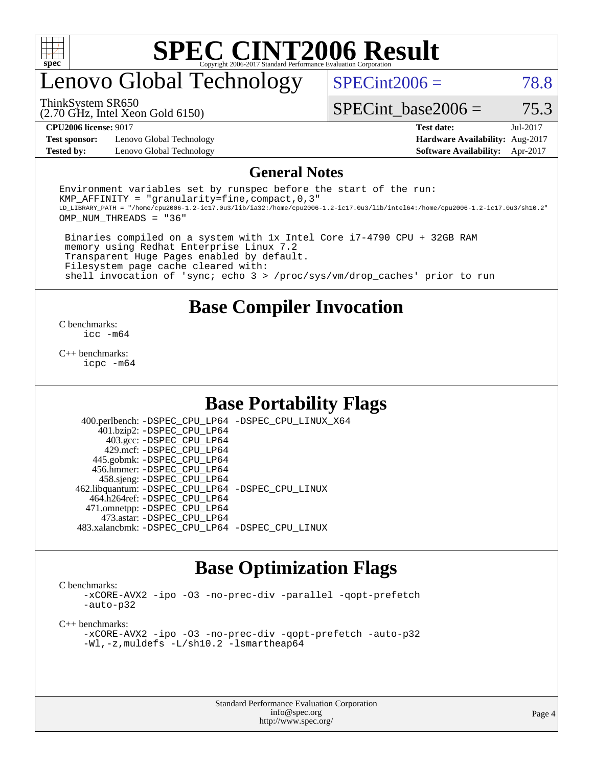

## enovo Global Technology

 $SPECint2006 = 78.8$  $SPECint2006 = 78.8$ 

(2.70 GHz, Intel Xeon Gold 6150) ThinkSystem SR650

SPECint base2006 =  $75.3$ 

**[Test sponsor:](http://www.spec.org/auto/cpu2006/Docs/result-fields.html#Testsponsor)** Lenovo Global Technology **[Hardware Availability:](http://www.spec.org/auto/cpu2006/Docs/result-fields.html#HardwareAvailability)** Aug-2017 **[Tested by:](http://www.spec.org/auto/cpu2006/Docs/result-fields.html#Testedby)** Lenovo Global Technology **[Software Availability:](http://www.spec.org/auto/cpu2006/Docs/result-fields.html#SoftwareAvailability)** Apr-2017

**[CPU2006 license:](http://www.spec.org/auto/cpu2006/Docs/result-fields.html#CPU2006license)** 9017 **[Test date:](http://www.spec.org/auto/cpu2006/Docs/result-fields.html#Testdate)** Jul-2017

#### **[General Notes](http://www.spec.org/auto/cpu2006/Docs/result-fields.html#GeneralNotes)**

Environment variables set by runspec before the start of the run: KMP AFFINITY = "granularity=fine, compact,  $0,3$ " LD\_LIBRARY\_PATH = "/home/cpu2006-1.2-ic17.0u3/lib/ia32:/home/cpu2006-1.2-ic17.0u3/lib/intel64:/home/cpu2006-1.2-ic17.0u3/sh10.2" OMP\_NUM\_THREADS = "36"

 Binaries compiled on a system with 1x Intel Core i7-4790 CPU + 32GB RAM memory using Redhat Enterprise Linux 7.2 Transparent Huge Pages enabled by default. Filesystem page cache cleared with: shell invocation of 'sync; echo 3 > /proc/sys/vm/drop\_caches' prior to run

### **[Base Compiler Invocation](http://www.spec.org/auto/cpu2006/Docs/result-fields.html#BaseCompilerInvocation)**

[C benchmarks](http://www.spec.org/auto/cpu2006/Docs/result-fields.html#Cbenchmarks): [icc -m64](http://www.spec.org/cpu2006/results/res2017q4/cpu2006-20170918-49730.flags.html#user_CCbase_intel_icc_64bit_bda6cc9af1fdbb0edc3795bac97ada53)

[C++ benchmarks:](http://www.spec.org/auto/cpu2006/Docs/result-fields.html#CXXbenchmarks) [icpc -m64](http://www.spec.org/cpu2006/results/res2017q4/cpu2006-20170918-49730.flags.html#user_CXXbase_intel_icpc_64bit_fc66a5337ce925472a5c54ad6a0de310)

### **[Base Portability Flags](http://www.spec.org/auto/cpu2006/Docs/result-fields.html#BasePortabilityFlags)**

 400.perlbench: [-DSPEC\\_CPU\\_LP64](http://www.spec.org/cpu2006/results/res2017q4/cpu2006-20170918-49730.flags.html#b400.perlbench_basePORTABILITY_DSPEC_CPU_LP64) [-DSPEC\\_CPU\\_LINUX\\_X64](http://www.spec.org/cpu2006/results/res2017q4/cpu2006-20170918-49730.flags.html#b400.perlbench_baseCPORTABILITY_DSPEC_CPU_LINUX_X64) 401.bzip2: [-DSPEC\\_CPU\\_LP64](http://www.spec.org/cpu2006/results/res2017q4/cpu2006-20170918-49730.flags.html#suite_basePORTABILITY401_bzip2_DSPEC_CPU_LP64) 403.gcc: [-DSPEC\\_CPU\\_LP64](http://www.spec.org/cpu2006/results/res2017q4/cpu2006-20170918-49730.flags.html#suite_basePORTABILITY403_gcc_DSPEC_CPU_LP64) 429.mcf: [-DSPEC\\_CPU\\_LP64](http://www.spec.org/cpu2006/results/res2017q4/cpu2006-20170918-49730.flags.html#suite_basePORTABILITY429_mcf_DSPEC_CPU_LP64) 445.gobmk: [-DSPEC\\_CPU\\_LP64](http://www.spec.org/cpu2006/results/res2017q4/cpu2006-20170918-49730.flags.html#suite_basePORTABILITY445_gobmk_DSPEC_CPU_LP64) 456.hmmer: [-DSPEC\\_CPU\\_LP64](http://www.spec.org/cpu2006/results/res2017q4/cpu2006-20170918-49730.flags.html#suite_basePORTABILITY456_hmmer_DSPEC_CPU_LP64) 458.sjeng: [-DSPEC\\_CPU\\_LP64](http://www.spec.org/cpu2006/results/res2017q4/cpu2006-20170918-49730.flags.html#suite_basePORTABILITY458_sjeng_DSPEC_CPU_LP64) 462.libquantum: [-DSPEC\\_CPU\\_LP64](http://www.spec.org/cpu2006/results/res2017q4/cpu2006-20170918-49730.flags.html#suite_basePORTABILITY462_libquantum_DSPEC_CPU_LP64) [-DSPEC\\_CPU\\_LINUX](http://www.spec.org/cpu2006/results/res2017q4/cpu2006-20170918-49730.flags.html#b462.libquantum_baseCPORTABILITY_DSPEC_CPU_LINUX) 464.h264ref: [-DSPEC\\_CPU\\_LP64](http://www.spec.org/cpu2006/results/res2017q4/cpu2006-20170918-49730.flags.html#suite_basePORTABILITY464_h264ref_DSPEC_CPU_LP64) 471.omnetpp: [-DSPEC\\_CPU\\_LP64](http://www.spec.org/cpu2006/results/res2017q4/cpu2006-20170918-49730.flags.html#suite_basePORTABILITY471_omnetpp_DSPEC_CPU_LP64) 473.astar: [-DSPEC\\_CPU\\_LP64](http://www.spec.org/cpu2006/results/res2017q4/cpu2006-20170918-49730.flags.html#suite_basePORTABILITY473_astar_DSPEC_CPU_LP64) 483.xalancbmk: [-DSPEC\\_CPU\\_LP64](http://www.spec.org/cpu2006/results/res2017q4/cpu2006-20170918-49730.flags.html#suite_basePORTABILITY483_xalancbmk_DSPEC_CPU_LP64) [-DSPEC\\_CPU\\_LINUX](http://www.spec.org/cpu2006/results/res2017q4/cpu2006-20170918-49730.flags.html#b483.xalancbmk_baseCXXPORTABILITY_DSPEC_CPU_LINUX)

### **[Base Optimization Flags](http://www.spec.org/auto/cpu2006/Docs/result-fields.html#BaseOptimizationFlags)**

[C benchmarks](http://www.spec.org/auto/cpu2006/Docs/result-fields.html#Cbenchmarks):

[-xCORE-AVX2](http://www.spec.org/cpu2006/results/res2017q4/cpu2006-20170918-49730.flags.html#user_CCbase_f-xCORE-AVX2) [-ipo](http://www.spec.org/cpu2006/results/res2017q4/cpu2006-20170918-49730.flags.html#user_CCbase_f-ipo) [-O3](http://www.spec.org/cpu2006/results/res2017q4/cpu2006-20170918-49730.flags.html#user_CCbase_f-O3) [-no-prec-div](http://www.spec.org/cpu2006/results/res2017q4/cpu2006-20170918-49730.flags.html#user_CCbase_f-no-prec-div) [-parallel](http://www.spec.org/cpu2006/results/res2017q4/cpu2006-20170918-49730.flags.html#user_CCbase_f-parallel) [-qopt-prefetch](http://www.spec.org/cpu2006/results/res2017q4/cpu2006-20170918-49730.flags.html#user_CCbase_f-qopt-prefetch) [-auto-p32](http://www.spec.org/cpu2006/results/res2017q4/cpu2006-20170918-49730.flags.html#user_CCbase_f-auto-p32)

[C++ benchmarks:](http://www.spec.org/auto/cpu2006/Docs/result-fields.html#CXXbenchmarks)

[-xCORE-AVX2](http://www.spec.org/cpu2006/results/res2017q4/cpu2006-20170918-49730.flags.html#user_CXXbase_f-xCORE-AVX2) [-ipo](http://www.spec.org/cpu2006/results/res2017q4/cpu2006-20170918-49730.flags.html#user_CXXbase_f-ipo) [-O3](http://www.spec.org/cpu2006/results/res2017q4/cpu2006-20170918-49730.flags.html#user_CXXbase_f-O3) [-no-prec-div](http://www.spec.org/cpu2006/results/res2017q4/cpu2006-20170918-49730.flags.html#user_CXXbase_f-no-prec-div) [-qopt-prefetch](http://www.spec.org/cpu2006/results/res2017q4/cpu2006-20170918-49730.flags.html#user_CXXbase_f-qopt-prefetch) [-auto-p32](http://www.spec.org/cpu2006/results/res2017q4/cpu2006-20170918-49730.flags.html#user_CXXbase_f-auto-p32) [-Wl,-z,muldefs](http://www.spec.org/cpu2006/results/res2017q4/cpu2006-20170918-49730.flags.html#user_CXXbase_link_force_multiple1_74079c344b956b9658436fd1b6dd3a8a) [-L/sh10.2 -lsmartheap64](http://www.spec.org/cpu2006/results/res2017q4/cpu2006-20170918-49730.flags.html#user_CXXbase_SmartHeap64_63911d860fc08c15fa1d5bf319b9d8d5)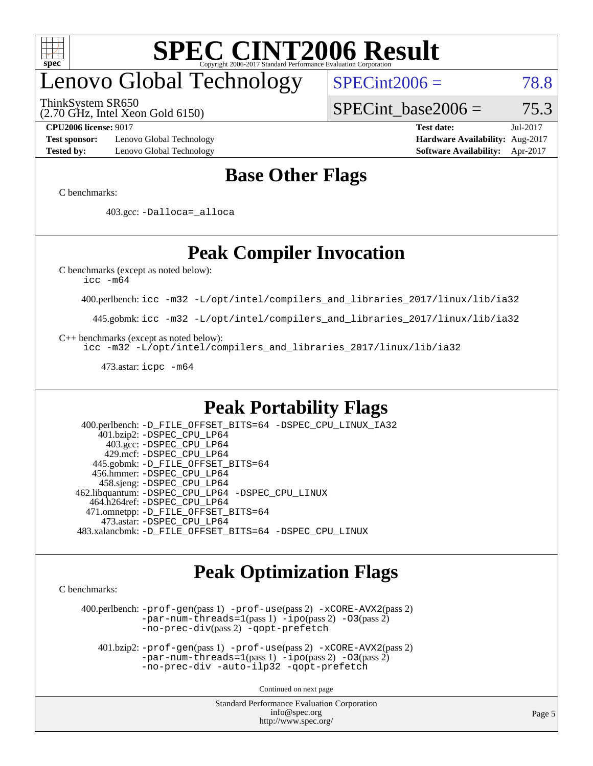

## enovo Global Technology

ThinkSystem SR650

(2.70 GHz, Intel Xeon Gold 6150)

 $SPECint2006 = 78.8$  $SPECint2006 = 78.8$ 

SPECint base2006 =  $75.3$ 

**[Test sponsor:](http://www.spec.org/auto/cpu2006/Docs/result-fields.html#Testsponsor)** Lenovo Global Technology **[Hardware Availability:](http://www.spec.org/auto/cpu2006/Docs/result-fields.html#HardwareAvailability)** Aug-2017 **[Tested by:](http://www.spec.org/auto/cpu2006/Docs/result-fields.html#Testedby)** Lenovo Global Technology **[Software Availability:](http://www.spec.org/auto/cpu2006/Docs/result-fields.html#SoftwareAvailability)** Apr-2017

**[CPU2006 license:](http://www.spec.org/auto/cpu2006/Docs/result-fields.html#CPU2006license)** 9017 **[Test date:](http://www.spec.org/auto/cpu2006/Docs/result-fields.html#Testdate)** Jul-2017

### **[Base Other Flags](http://www.spec.org/auto/cpu2006/Docs/result-fields.html#BaseOtherFlags)**

[C benchmarks](http://www.spec.org/auto/cpu2006/Docs/result-fields.html#Cbenchmarks):

403.gcc: [-Dalloca=\\_alloca](http://www.spec.org/cpu2006/results/res2017q4/cpu2006-20170918-49730.flags.html#b403.gcc_baseEXTRA_CFLAGS_Dalloca_be3056838c12de2578596ca5467af7f3)

### **[Peak Compiler Invocation](http://www.spec.org/auto/cpu2006/Docs/result-fields.html#PeakCompilerInvocation)**

[C benchmarks \(except as noted below\)](http://www.spec.org/auto/cpu2006/Docs/result-fields.html#Cbenchmarksexceptasnotedbelow):

[icc -m64](http://www.spec.org/cpu2006/results/res2017q4/cpu2006-20170918-49730.flags.html#user_CCpeak_intel_icc_64bit_bda6cc9af1fdbb0edc3795bac97ada53)

400.perlbench: [icc -m32 -L/opt/intel/compilers\\_and\\_libraries\\_2017/linux/lib/ia32](http://www.spec.org/cpu2006/results/res2017q4/cpu2006-20170918-49730.flags.html#user_peakCCLD400_perlbench_intel_icc_c29f3ff5a7ed067b11e4ec10a03f03ae)

445.gobmk: [icc -m32 -L/opt/intel/compilers\\_and\\_libraries\\_2017/linux/lib/ia32](http://www.spec.org/cpu2006/results/res2017q4/cpu2006-20170918-49730.flags.html#user_peakCCLD445_gobmk_intel_icc_c29f3ff5a7ed067b11e4ec10a03f03ae)

[C++ benchmarks \(except as noted below\):](http://www.spec.org/auto/cpu2006/Docs/result-fields.html#CXXbenchmarksexceptasnotedbelow)

[icc -m32 -L/opt/intel/compilers\\_and\\_libraries\\_2017/linux/lib/ia32](http://www.spec.org/cpu2006/results/res2017q4/cpu2006-20170918-49730.flags.html#user_CXXpeak_intel_icc_c29f3ff5a7ed067b11e4ec10a03f03ae)

473.astar: [icpc -m64](http://www.spec.org/cpu2006/results/res2017q4/cpu2006-20170918-49730.flags.html#user_peakCXXLD473_astar_intel_icpc_64bit_fc66a5337ce925472a5c54ad6a0de310)

### **[Peak Portability Flags](http://www.spec.org/auto/cpu2006/Docs/result-fields.html#PeakPortabilityFlags)**

 400.perlbench: [-D\\_FILE\\_OFFSET\\_BITS=64](http://www.spec.org/cpu2006/results/res2017q4/cpu2006-20170918-49730.flags.html#user_peakPORTABILITY400_perlbench_file_offset_bits_64_438cf9856305ebd76870a2c6dc2689ab) [-DSPEC\\_CPU\\_LINUX\\_IA32](http://www.spec.org/cpu2006/results/res2017q4/cpu2006-20170918-49730.flags.html#b400.perlbench_peakCPORTABILITY_DSPEC_CPU_LINUX_IA32) 401.bzip2: [-DSPEC\\_CPU\\_LP64](http://www.spec.org/cpu2006/results/res2017q4/cpu2006-20170918-49730.flags.html#suite_peakPORTABILITY401_bzip2_DSPEC_CPU_LP64) 403.gcc: [-DSPEC\\_CPU\\_LP64](http://www.spec.org/cpu2006/results/res2017q4/cpu2006-20170918-49730.flags.html#suite_peakPORTABILITY403_gcc_DSPEC_CPU_LP64) 429.mcf: [-DSPEC\\_CPU\\_LP64](http://www.spec.org/cpu2006/results/res2017q4/cpu2006-20170918-49730.flags.html#suite_peakPORTABILITY429_mcf_DSPEC_CPU_LP64) 445.gobmk: [-D\\_FILE\\_OFFSET\\_BITS=64](http://www.spec.org/cpu2006/results/res2017q4/cpu2006-20170918-49730.flags.html#user_peakPORTABILITY445_gobmk_file_offset_bits_64_438cf9856305ebd76870a2c6dc2689ab) 456.hmmer: [-DSPEC\\_CPU\\_LP64](http://www.spec.org/cpu2006/results/res2017q4/cpu2006-20170918-49730.flags.html#suite_peakPORTABILITY456_hmmer_DSPEC_CPU_LP64) 458.sjeng: [-DSPEC\\_CPU\\_LP64](http://www.spec.org/cpu2006/results/res2017q4/cpu2006-20170918-49730.flags.html#suite_peakPORTABILITY458_sjeng_DSPEC_CPU_LP64) 462.libquantum: [-DSPEC\\_CPU\\_LP64](http://www.spec.org/cpu2006/results/res2017q4/cpu2006-20170918-49730.flags.html#suite_peakPORTABILITY462_libquantum_DSPEC_CPU_LP64) [-DSPEC\\_CPU\\_LINUX](http://www.spec.org/cpu2006/results/res2017q4/cpu2006-20170918-49730.flags.html#b462.libquantum_peakCPORTABILITY_DSPEC_CPU_LINUX) 464.h264ref: [-DSPEC\\_CPU\\_LP64](http://www.spec.org/cpu2006/results/res2017q4/cpu2006-20170918-49730.flags.html#suite_peakPORTABILITY464_h264ref_DSPEC_CPU_LP64) 471.omnetpp: [-D\\_FILE\\_OFFSET\\_BITS=64](http://www.spec.org/cpu2006/results/res2017q4/cpu2006-20170918-49730.flags.html#user_peakPORTABILITY471_omnetpp_file_offset_bits_64_438cf9856305ebd76870a2c6dc2689ab) 473.astar: [-DSPEC\\_CPU\\_LP64](http://www.spec.org/cpu2006/results/res2017q4/cpu2006-20170918-49730.flags.html#suite_peakPORTABILITY473_astar_DSPEC_CPU_LP64) 483.xalancbmk: [-D\\_FILE\\_OFFSET\\_BITS=64](http://www.spec.org/cpu2006/results/res2017q4/cpu2006-20170918-49730.flags.html#user_peakPORTABILITY483_xalancbmk_file_offset_bits_64_438cf9856305ebd76870a2c6dc2689ab) [-DSPEC\\_CPU\\_LINUX](http://www.spec.org/cpu2006/results/res2017q4/cpu2006-20170918-49730.flags.html#b483.xalancbmk_peakCXXPORTABILITY_DSPEC_CPU_LINUX)

### **[Peak Optimization Flags](http://www.spec.org/auto/cpu2006/Docs/result-fields.html#PeakOptimizationFlags)**

[C benchmarks](http://www.spec.org/auto/cpu2006/Docs/result-fields.html#Cbenchmarks):

 400.perlbench: [-prof-gen](http://www.spec.org/cpu2006/results/res2017q4/cpu2006-20170918-49730.flags.html#user_peakPASS1_CFLAGSPASS1_LDCFLAGS400_perlbench_prof_gen_e43856698f6ca7b7e442dfd80e94a8fc)(pass 1) [-prof-use](http://www.spec.org/cpu2006/results/res2017q4/cpu2006-20170918-49730.flags.html#user_peakPASS2_CFLAGSPASS2_LDCFLAGS400_perlbench_prof_use_bccf7792157ff70d64e32fe3e1250b55)(pass 2) [-xCORE-AVX2](http://www.spec.org/cpu2006/results/res2017q4/cpu2006-20170918-49730.flags.html#user_peakPASS2_CFLAGSPASS2_LDCFLAGS400_perlbench_f-xCORE-AVX2)(pass 2) [-par-num-threads=1](http://www.spec.org/cpu2006/results/res2017q4/cpu2006-20170918-49730.flags.html#user_peakPASS1_CFLAGSPASS1_LDCFLAGS400_perlbench_par_num_threads_786a6ff141b4e9e90432e998842df6c2)(pass 1) [-ipo](http://www.spec.org/cpu2006/results/res2017q4/cpu2006-20170918-49730.flags.html#user_peakPASS2_CFLAGSPASS2_LDCFLAGS400_perlbench_f-ipo)(pass 2) [-O3](http://www.spec.org/cpu2006/results/res2017q4/cpu2006-20170918-49730.flags.html#user_peakPASS2_CFLAGSPASS2_LDCFLAGS400_perlbench_f-O3)(pass 2) [-no-prec-div](http://www.spec.org/cpu2006/results/res2017q4/cpu2006-20170918-49730.flags.html#user_peakPASS2_CFLAGSPASS2_LDCFLAGS400_perlbench_f-no-prec-div)(pass 2) [-qopt-prefetch](http://www.spec.org/cpu2006/results/res2017q4/cpu2006-20170918-49730.flags.html#user_peakCOPTIMIZE400_perlbench_f-qopt-prefetch)

 401.bzip2: [-prof-gen](http://www.spec.org/cpu2006/results/res2017q4/cpu2006-20170918-49730.flags.html#user_peakPASS1_CFLAGSPASS1_LDCFLAGS401_bzip2_prof_gen_e43856698f6ca7b7e442dfd80e94a8fc)(pass 1) [-prof-use](http://www.spec.org/cpu2006/results/res2017q4/cpu2006-20170918-49730.flags.html#user_peakPASS2_CFLAGSPASS2_LDCFLAGS401_bzip2_prof_use_bccf7792157ff70d64e32fe3e1250b55)(pass 2) [-xCORE-AVX2](http://www.spec.org/cpu2006/results/res2017q4/cpu2006-20170918-49730.flags.html#user_peakPASS2_CFLAGSPASS2_LDCFLAGS401_bzip2_f-xCORE-AVX2)(pass 2)  $-par-num-threads=1(pass 1) -ipo(pass 2) -O3(pass 2)$  $-par-num-threads=1(pass 1) -ipo(pass 2) -O3(pass 2)$  $-par-num-threads=1(pass 1) -ipo(pass 2) -O3(pass 2)$  $-par-num-threads=1(pass 1) -ipo(pass 2) -O3(pass 2)$  $-par-num-threads=1(pass 1) -ipo(pass 2) -O3(pass 2)$  $-par-num-threads=1(pass 1) -ipo(pass 2) -O3(pass 2)$ [-no-prec-div](http://www.spec.org/cpu2006/results/res2017q4/cpu2006-20170918-49730.flags.html#user_peakCOPTIMIZEPASS2_CFLAGSPASS2_LDCFLAGS401_bzip2_f-no-prec-div) [-auto-ilp32](http://www.spec.org/cpu2006/results/res2017q4/cpu2006-20170918-49730.flags.html#user_peakCOPTIMIZE401_bzip2_f-auto-ilp32) [-qopt-prefetch](http://www.spec.org/cpu2006/results/res2017q4/cpu2006-20170918-49730.flags.html#user_peakCOPTIMIZE401_bzip2_f-qopt-prefetch)

Continued on next page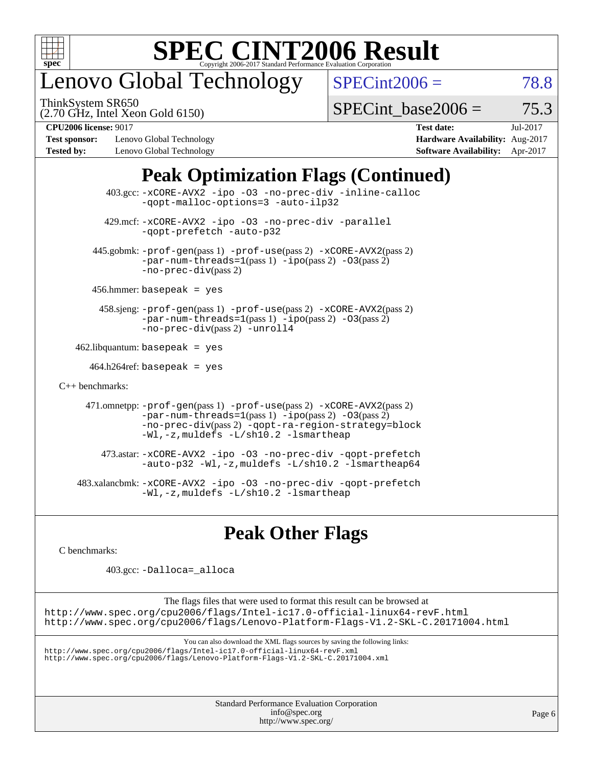

## enovo Global Technology

ThinkSystem SR650

 $SPECint2006 = 78.8$  $SPECint2006 = 78.8$ 

(2.70 GHz, Intel Xeon Gold 6150)

SPECint base2006 =  $75.3$ 

**[Test sponsor:](http://www.spec.org/auto/cpu2006/Docs/result-fields.html#Testsponsor)** Lenovo Global Technology **[Hardware Availability:](http://www.spec.org/auto/cpu2006/Docs/result-fields.html#HardwareAvailability)** Aug-2017 **[Tested by:](http://www.spec.org/auto/cpu2006/Docs/result-fields.html#Testedby)** Lenovo Global Technology **[Software Availability:](http://www.spec.org/auto/cpu2006/Docs/result-fields.html#SoftwareAvailability)** Apr-2017

**[CPU2006 license:](http://www.spec.org/auto/cpu2006/Docs/result-fields.html#CPU2006license)** 9017 **[Test date:](http://www.spec.org/auto/cpu2006/Docs/result-fields.html#Testdate)** Jul-2017

## **[Peak Optimization Flags \(Continued\)](http://www.spec.org/auto/cpu2006/Docs/result-fields.html#PeakOptimizationFlags)**

|                      | 403.gcc: -xCORE-AVX2 -ipo -03 -no-prec-div -inline-calloc<br>-gopt-malloc-options=3 -auto-ilp32                                                                                                                               |
|----------------------|-------------------------------------------------------------------------------------------------------------------------------------------------------------------------------------------------------------------------------|
|                      | 429.mcf: -xCORE-AVX2 -ipo -03 -no-prec-div -parallel<br>-gopt-prefetch -auto-p32                                                                                                                                              |
|                      | 445.gobmk: -prof-gen(pass 1) -prof-use(pass 2) -xCORE-AVX2(pass 2)<br>$-par-num-threads=1(pass 1) -ipo(pass 2) -03(pass 2)$<br>$-no-prec-div(pass 2)$                                                                         |
|                      | $456.$ hmmer: basepeak = yes                                                                                                                                                                                                  |
|                      | 458.sjeng: -prof-gen(pass 1) -prof-use(pass 2) -xCORE-AVX2(pass 2)<br>$-par-num-threads=1(pass 1) -ipo(pass 2) -03(pass 2)$<br>-no-prec-div(pass 2) -unroll4                                                                  |
|                      | $462$ .libquantum: basepeak = yes                                                                                                                                                                                             |
|                      | $464.h264$ ref: basepeak = yes                                                                                                                                                                                                |
| $C_{++}$ benchmarks: |                                                                                                                                                                                                                               |
|                      | 471.omnetpp: -prof-gen(pass 1) -prof-use(pass 2) -xCORE-AVX2(pass 2)<br>$-par-num-threads=1(pass 1) -ipo(pass 2) -03(pass 2)$<br>-no-prec-div(pass 2) -qopt-ra-region-strategy=block<br>-Wl,-z, muldefs -L/sh10.2 -lsmartheap |
|                      | 473.astar: -xCORE-AVX2 -ipo -03 -no-prec-div -qopt-prefetch<br>-auto-p32 -Wl,-z, muldefs -L/sh10.2 -lsmartheap64                                                                                                              |
|                      | 483.xalancbmk:-xCORE-AVX2 -ipo -03 -no-prec-div -qopt-prefetch<br>-Wl,-z, muldefs -L/sh10.2 -lsmartheap                                                                                                                       |

### **[Peak Other Flags](http://www.spec.org/auto/cpu2006/Docs/result-fields.html#PeakOtherFlags)**

[C benchmarks](http://www.spec.org/auto/cpu2006/Docs/result-fields.html#Cbenchmarks):

403.gcc: [-Dalloca=\\_alloca](http://www.spec.org/cpu2006/results/res2017q4/cpu2006-20170918-49730.flags.html#b403.gcc_peakEXTRA_CFLAGS_Dalloca_be3056838c12de2578596ca5467af7f3)

The flags files that were used to format this result can be browsed at <http://www.spec.org/cpu2006/flags/Intel-ic17.0-official-linux64-revF.html> <http://www.spec.org/cpu2006/flags/Lenovo-Platform-Flags-V1.2-SKL-C.20171004.html>

You can also download the XML flags sources by saving the following links:

<http://www.spec.org/cpu2006/flags/Intel-ic17.0-official-linux64-revF.xml> <http://www.spec.org/cpu2006/flags/Lenovo-Platform-Flags-V1.2-SKL-C.20171004.xml>